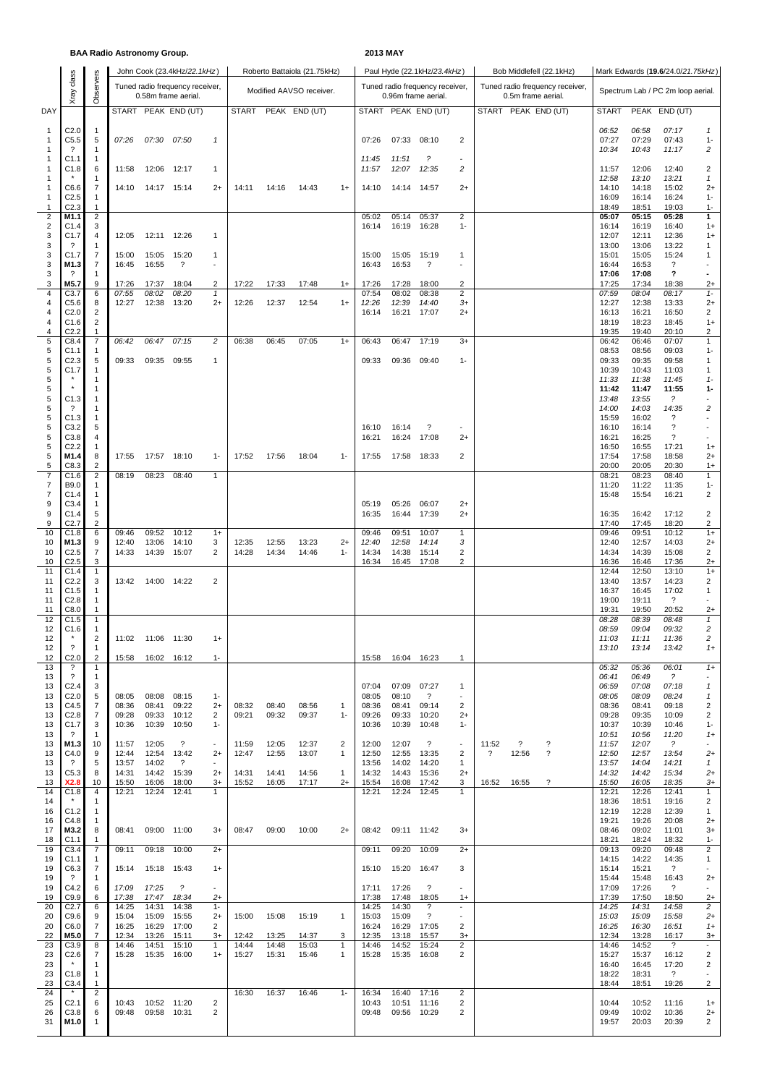## **BAA Radio Astronomy Group. 2013 MAY**

|                                         |                                      |                                  |                |                | John Cook (23.4kHz/22.1kHz)     |                                  |                |                | Roberto Battaiola (21.75kHz) |                   |                                 | Paul Hyde (22.1kHz/23.4kHz) |                             |                                 | Bob Middlefell (22.1kHz)          | Mark Edwards (19.6/24.0/21.75kHz)     |                |                |                                   |                                     |  |
|-----------------------------------------|--------------------------------------|----------------------------------|----------------|----------------|---------------------------------|----------------------------------|----------------|----------------|------------------------------|-------------------|---------------------------------|-----------------------------|-----------------------------|---------------------------------|-----------------------------------|---------------------------------------|----------------|----------------|-----------------------------------|-------------------------------------|--|
|                                         | class                                | Observers                        |                |                | Tuned radio frequency receiver, |                                  |                |                |                              |                   | Tuned radio frequency receiver, |                             |                             | Tuned radio frequency receiver, | Spectrum Lab / PC 2m loop aerial. |                                       |                |                |                                   |                                     |  |
|                                         | Xray                                 |                                  |                |                | 0.58m frame aerial.             |                                  |                |                | Modified AAVSO receiver.     |                   |                                 |                             | 0.96m frame aerial.         |                                 |                                   | 0.5m frame aerial.                    |                |                |                                   |                                     |  |
| DAY                                     |                                      |                                  |                |                | START PEAK END (UT)             |                                  | <b>START</b>   |                | PEAK END (UT)                |                   | <b>START</b>                    |                             | PEAK END (UT)               |                                 |                                   | START PEAK END (UT)                   | <b>START</b>   |                | PEAK END (UT)                     |                                     |  |
| $\mathbf{1}$                            | C2.0                                 | $\overline{1}$                   |                |                |                                 |                                  |                |                |                              |                   |                                 |                             |                             |                                 |                                   |                                       | 06:52          | 06:58          | 07:17                             | $\mathcal I$                        |  |
| $\mathbf{1}$                            | C5.5                                 | 5                                | 07:26          | 07:30          | 07:50                           | $\mathbf{1}$                     |                |                |                              |                   | 07:26                           | 07:33                       | 08:10                       | 2                               |                                   |                                       | 07:27          | 07:29          | 07:43                             | $1 -$                               |  |
| $\overline{\mathbf{1}}$<br>$\mathbf{1}$ | $\overline{\cdot}$<br>C1.1           | $\mathbf{1}$<br>$\mathbf{1}$     |                |                |                                 |                                  |                |                |                              |                   | 11:45                           | 11:51                       | $\tilde{z}$                 |                                 |                                   |                                       | 10:34          | 10:43          | 11:17                             | 2                                   |  |
| $\overline{\mathbf{1}}$                 | C1.8                                 | 6                                | 11:58          | 12:06          | 12:17                           | 1                                |                |                |                              |                   | 11:57                           | 12:07                       | 12:35                       | $\overline{c}$                  |                                   |                                       | 11:57          | 12:06          | 12:40                             | 2                                   |  |
| $\overline{\mathbf{1}}$<br>$\mathbf{1}$ | C6.6                                 | 1<br>7                           | 14:10          |                | 14:17 15:14                     | $2+$                             | 14:11          | 14:16          | 14:43                        | $1+$              | 14:10                           | 14:14                       | 14:57                       | $2+$                            |                                   |                                       | 12:58<br>14:10 | 13:10<br>14:18 | 13:21<br>15:02                    | $\mathbf{1}$<br>$2+$                |  |
| $\mathbf{1}$                            | C2.5                                 | $\mathbf 1$                      |                |                |                                 |                                  |                |                |                              |                   |                                 |                             |                             |                                 |                                   |                                       | 16:09          | 16:14          | 16:24                             | $1 -$                               |  |
| 1<br>$\overline{\mathbf{c}}$            | C <sub>2.3</sub><br>M1.1             | 1<br>$\overline{c}$              |                |                |                                 |                                  |                |                |                              |                   | 05:02                           | 05:14                       | 05:37                       | $\overline{2}$                  |                                   |                                       | 18:49<br>05:07 | 18:51<br>05:15 | 19:03<br>05:28                    | $1 -$<br>1                          |  |
| $\overline{2}$                          | C1.4<br>C1.7                         | 3                                | 12:05          |                |                                 |                                  |                |                |                              |                   | 16:14                           | 16:19                       | 16:28                       | $1 -$                           |                                   |                                       | 16:14          | 16:19          | 16:40                             | $1+$                                |  |
| 3<br>3                                  | ?                                    | 4<br>-1                          |                |                | 12:11 12:26                     | 1                                |                |                |                              |                   |                                 |                             |                             |                                 |                                   |                                       | 12:07<br>13:00 | 12:11<br>13:06 | 12:36<br>13:22                    | $1+$<br>1                           |  |
| 3<br>3                                  | C1.7<br>M1.3                         | $\overline{7}$<br>7              | 15:00<br>16:45 | 15:05<br>16:55 | 15:20<br>$\ddot{?}$             | $\mathbf{1}$                     |                |                |                              |                   | 15:00<br>16:43                  | 15:05<br>16:53              | 15:19<br>?                  | 1<br>$\overline{\phantom{a}}$   |                                   |                                       | 15:01<br>16:44 | 15:05<br>16:53 | 15:24<br>?                        | 1                                   |  |
| 3                                       | $\overline{\mathcal{E}}$             | 1                                |                |                |                                 |                                  |                |                |                              |                   |                                 |                             |                             |                                 |                                   |                                       | 17:06          | 17:08          | ?                                 |                                     |  |
| 3<br>4                                  | M5.7<br>C3.7                         | 9<br>6                           | 17:26<br>07:55 | 17:37<br>08:02 | 18:04<br>08:20                  | 2<br>$\mathbf{1}$                | 17:22          | 17:33          | 17:48                        | $1+$              | 17:26<br>07:54                  | 17:28<br>08:02              | 18:00<br>08:38              | 2<br>$\overline{2}$             |                                   |                                       | 17:25<br>07:59 | 17:34<br>08:04 | 18:38<br>08:17                    | $2+$<br>$1 -$                       |  |
| 4                                       | C5.6                                 | 8                                | 12:27          | 12:38          | 13:20                           | $2+$                             | 12:26          | 12:37          | 12:54                        | $1+$              | 12:26                           | 12:39                       | 14:40                       | $3+$                            |                                   |                                       | 12:27          | 12:38          | 13:33                             | $^{2+}$                             |  |
| 4<br>4                                  | C <sub>2.0</sub><br>C1.6             | $\overline{c}$<br>$\overline{c}$ |                |                |                                 |                                  |                |                |                              |                   | 16:14                           | 16:21                       | 17:07                       | $2+$                            |                                   |                                       | 16:13<br>18:19 | 16:21<br>18:23 | 16:50<br>18:45                    | $\overline{\mathbf{c}}$<br>$1+$     |  |
| 4                                       | C <sub>2.2</sub>                     | $\mathbf{1}$                     |                |                |                                 |                                  |                |                |                              |                   |                                 |                             |                             |                                 |                                   |                                       | 19:35          | 19:40          | 20:10                             | 2                                   |  |
| $\sqrt{5}$<br>5                         | C8.4<br>C1.1                         | $\overline{7}$<br>1              | 06:42          | 06:47          | 07:15                           | 2                                | 06:38          | 06:45          | 07:05                        | $1+$              | 06:43                           | 06:47                       | 17:19                       | $3+$                            |                                   |                                       | 06:42<br>08:53 | 06:46<br>08:56 | 07:07<br>09:03                    | $\mathbf{1}$<br>$1 -$               |  |
| 5                                       | C2.3                                 | 5                                | 09:33          | 09:35          | 09:55                           | 1                                |                |                |                              |                   | 09:33                           | 09:36                       | 09:40                       | $1 -$                           |                                   |                                       | 09:33          | 09:35          | 09:58                             | 1                                   |  |
| 5<br>5                                  | C1.7                                 | 1<br>1                           |                |                |                                 |                                  |                |                |                              |                   |                                 |                             |                             |                                 |                                   |                                       | 10:39<br>11:33 | 10:43<br>11:38 | 11:03<br>11:45                    | 1<br>$1 -$                          |  |
| 5<br>5                                  | C1.3                                 | -1<br>$\mathbf{1}$               |                |                |                                 |                                  |                |                |                              |                   |                                 |                             |                             |                                 |                                   |                                       | 11:42<br>13:48 | 11:47<br>13:55 | 11:55<br>$\tilde{?}$              | 1-                                  |  |
| 5                                       | $\overline{\cdot}$                   | -1                               |                |                |                                 |                                  |                |                |                              |                   |                                 |                             |                             |                                 |                                   |                                       | 14:00          | 14:03          | 14:35                             | 2                                   |  |
| 5<br>5                                  | C1.3<br>C3.2                         | $\mathbf{1}$<br>5                |                |                |                                 |                                  |                |                |                              |                   | 16:10                           | 16:14                       | ?                           |                                 |                                   |                                       | 15:59<br>16:10 | 16:02<br>16:14 | ?<br>$\ddot{?}$                   |                                     |  |
| 5                                       | C3.8                                 | 4                                |                |                |                                 |                                  |                |                |                              |                   | 16:21                           | 16:24                       | 17:08                       | $2+$                            |                                   |                                       | 16:21          | 16:25          | $\ddot{?}$                        | $\sim$                              |  |
| 5<br>5                                  | C <sub>2.2</sub><br>M1.4             | $\mathbf{1}$<br>8                | 17:55          | 17:57          | 18:10                           | $1 -$                            | 17:52          | 17:56          | 18:04                        | $1 -$             | 17:55                           | 17:58                       | 18:33                       | 2                               |                                   |                                       | 16:50<br>17:54 | 16:55<br>17:58 | 17:21<br>18:58                    | $1+$<br>$2+$                        |  |
| 5                                       | C8.3                                 | 2                                |                |                |                                 |                                  |                |                |                              |                   |                                 |                             |                             |                                 |                                   |                                       | 20:00          | 20:05          | 20:30                             | $1+$                                |  |
| $\overline{7}$<br>$\overline{7}$        | C1.6<br>B9.0                         | 2<br>1                           | 08:19          | 08:23          | 08:40                           | $\mathbf{1}$                     |                |                |                              |                   |                                 |                             |                             |                                 |                                   |                                       | 08:21<br>11:20 | 08:23<br>11:22 | 08:40<br>11:35                    | 1<br>$1 -$                          |  |
| 7                                       | C1.4                                 | $\mathbf{1}$                     |                |                |                                 |                                  |                |                |                              |                   |                                 |                             |                             |                                 |                                   |                                       | 15:48          | 15:54          | 16:21                             | 2                                   |  |
| 9<br>9                                  | C3.4<br>C1.4                         | $\mathbf{1}$<br>5                |                |                |                                 |                                  |                |                |                              |                   | 05:19<br>16:35                  | 05:26<br>16:44              | 06:07<br>17:39              | $2+$<br>$2+$                    |                                   |                                       | 16:35          | 16:42          | 17:12                             | 2                                   |  |
| 9                                       | C <sub>2.7</sub>                     | 2                                | 09:46          | 09:52          | 10:12                           |                                  |                |                |                              |                   |                                 |                             |                             |                                 |                                   |                                       | 17:40          | 17:45          | 18:20                             | 2                                   |  |
| 10<br>10                                | C1.8<br>M1.3                         | 6<br>9                           | 12:40          | 13:06          | 14:10                           | $1+$<br>3                        | 12:35          | 12:55          | 13:23                        | $2+$              | 09:46<br>12:40                  | 09:51<br>12:58              | 10:07<br>14:14              | 1<br>3                          |                                   |                                       | 09:46<br>12:40 | 09:51<br>12:57 | 10:12<br>14:03                    | $1+$<br>$2+$                        |  |
| 10<br>10                                | C <sub>2.5</sub><br>C <sub>2.5</sub> | $\overline{7}$<br>3              | 14:33          | 14:39          | 15:07                           | 2                                | 14:28          | 14:34          | 14:46                        | $1 -$             | 14:34<br>16:34                  | 14:38<br>16:45              | 15:14<br>17:08              | 2<br>2                          |                                   |                                       | 14:34<br>16:36 | 14:39<br>16:46 | 15:08<br>17:36                    | 2<br>$^{2+}$                        |  |
| 11                                      | C1.4                                 | $\overline{1}$                   |                |                |                                 |                                  |                |                |                              |                   |                                 |                             |                             |                                 |                                   |                                       | 12:44          | 12:50          | 13:10                             | $1+$                                |  |
| 11<br>11                                | C2.2<br>C1.5                         | 3<br>1                           | 13:42          | 14:00          | 14:22                           | 2                                |                |                |                              |                   |                                 |                             |                             |                                 |                                   |                                       | 13:40<br>16:37 | 13:57<br>16:45 | 14:23<br>17:02                    | 2<br>1                              |  |
| 11                                      | C <sub>2.8</sub>                     | 1                                |                |                |                                 |                                  |                |                |                              |                   |                                 |                             |                             |                                 |                                   |                                       | 19:00          | 19:11          | $\overline{\mathcal{E}}$          |                                     |  |
| 11<br>12                                | C8.0<br>C1.5                         | 1<br>$\mathbf{1}$                |                |                |                                 |                                  |                |                |                              |                   |                                 |                             |                             |                                 |                                   |                                       | 19:31<br>08:28 | 19:50<br>08:39 | 20:52<br>08:48                    | $2+$<br>$\mathbf{1}$                |  |
| 12<br>12                                | C1.6                                 | $\mathbf{1}$<br>$\overline{c}$   | 11:02          | 11:06 11:30    |                                 |                                  |                |                |                              |                   |                                 |                             |                             |                                 |                                   |                                       | 08:59          | 09:04          | 09:32                             | 2<br>$\overline{\mathbf{c}}$        |  |
| 12                                      | ?                                    | 1                                |                |                |                                 | $1+$                             |                |                |                              |                   |                                 |                             |                             |                                 |                                   |                                       | 11:03<br>13:10 | 11:11<br>13:14 | 11:36<br>13:42                    | $1+$                                |  |
| 12<br>13                                | C <sub>2.0</sub><br>?                | $\overline{2}$<br>1              | 15:58          |                | 16:02 16:12                     | $1 -$                            |                |                |                              |                   | 15:58                           | 16:04                       | 16:23                       | 1                               |                                   |                                       | 05:32          | 05:36          | 06:01                             | $1+$                                |  |
| 13                                      | $\overline{\cdot}$                   | 1                                |                |                |                                 |                                  |                |                |                              |                   |                                 |                             |                             |                                 |                                   |                                       | 06:41          | 06:49          | $\tilde{z}$                       |                                     |  |
| 13<br>13                                | C2.4<br>C <sub>2.0</sub>             | 3<br>5                           | 08:05          | 08:08          | 08:15                           | $1 -$                            |                |                |                              |                   | 07:04<br>08:05                  | 07:09<br>08:10              | 07:27<br>$\overline{\cdot}$ | 1<br>$\sim$                     |                                   |                                       | 06:59<br>08:05 | 07:08<br>08:09 | 07:18<br>08:24                    | $\mathbf{1}$<br>$\mathbf{1}$        |  |
| 13                                      | C4.5                                 | $\overline{7}$                   | 08:36          | 08:41          | 09:22                           | $2+$                             | 08:32          | 08:40          | 08:56                        | $\mathbf{1}$      | 08:36                           | 08:41                       | 09:14                       | 2                               |                                   |                                       | 08:36          | 08:41          | 09:18                             | 2                                   |  |
| 13<br>13                                | C <sub>2.8</sub><br>C1.7             | $\overline{7}$<br>3              | 09:28<br>10:36 | 09:33<br>10:39 | 10:12<br>10:50                  | 2<br>$1 -$                       | 09:21          | 09:32          | 09:37                        | $1 -$             | 09:26<br>10:36                  | 09:33<br>10:39              | 10:20<br>10:48              | $2+$<br>$1 -$                   |                                   |                                       | 09:28<br>10:37 | 09:35<br>10:39 | 10:09<br>10:46                    | 2<br>$1 -$                          |  |
| 13                                      | ?                                    | 1                                |                |                |                                 |                                  |                |                |                              |                   |                                 |                             |                             |                                 |                                   |                                       | 10:51          | 10:56          | 11:20                             | $1+$                                |  |
| 13<br>13                                | M1.3<br>C4.0                         | 10<br>9                          | 11:57<br>12:44 | 12:05<br>12:54 | $\ddot{\phantom{0}}$<br>13:42   | $\overline{\phantom{a}}$<br>$2+$ | 11:59<br>12:47 | 12:05<br>12:55 | 12:37<br>13:07               | 2<br>$\mathbf{1}$ | 12:00<br>12:50                  | 12:07<br>12:55              | ?<br>13:35                  | $\overline{\phantom{a}}$<br>2   | 11:52<br>?                        | $\overline{\cdot}$<br>?<br>?<br>12:56 | 11:57<br>12:50 | 12:07<br>12:57 | $\tilde{c}$<br>13:54              | $\overline{\phantom{a}}$<br>$^{2+}$ |  |
| 13<br>13                                | ?<br>C5.3                            | 5<br>8                           | 13:57<br>14:31 | 14:02<br>14:42 | $\gamma$<br>15:39               | $\sim$<br>$2+$                   | 14:31          | 14:41          | 14:56                        | $\overline{1}$    | 13:56<br>14:32                  | 14:02<br>14:43              | 14:20<br>15:36              | $\mathbf{1}$<br>$2+$            |                                   |                                       | 13:57<br>14:32 | 14:04<br>14:42 | 14:21<br>15:34                    | $\mathbf{1}$<br>$^{2+}$             |  |
| 13                                      | X2.8                                 | 10                               | 15:50          | 16:06          | 18:00                           | $3+$                             | 15:52          | 16:05          | 17:17                        | $2+$              | 15:54                           | 16:08                       | 17:42                       | 3                               | 16:52                             | ?<br>16:55                            | 15:50          | 16:05          | 18:35                             | $3+$                                |  |
| 14<br>14                                | C1.8                                 | 4<br>-1                          | 12:21          | 12:24          | 12:41                           | 1                                |                |                |                              |                   | 12:21                           | 12:24                       | 12:45                       | 1                               |                                   |                                       | 12:21<br>18:36 | 12:26<br>18:51 | 12:41<br>19:16                    | 1<br>2                              |  |
| 16                                      | C1.2                                 | $\overline{1}$                   |                |                |                                 |                                  |                |                |                              |                   |                                 |                             |                             |                                 |                                   |                                       | 12:19          | 12:28          | 12:39                             | 1                                   |  |
| 16<br>17                                | C4.8<br>M3.2                         | -1<br>8                          | 08:41          | 09:00          | 11:00                           | $3+$                             | 08:47          | 09:00          | 10:00                        | $2+$              | 08:42                           | 09:11 11:42                 |                             | $3+$                            |                                   |                                       | 19:21<br>08:46 | 19:26<br>09:02 | 20:08<br>11:01                    | $2+$<br>$3+$                        |  |
| 18                                      | C1.1                                 | 1                                |                |                |                                 |                                  |                |                |                              |                   |                                 |                             |                             |                                 |                                   |                                       | 18:21          | 18:24          | 18:32                             | $1 -$                               |  |
| 19<br>19                                | C3.4<br>C1.1                         | $\overline{7}$<br>$\mathbf{1}$   | 09:11          | 09:18          | 10:00                           | $2+$                             |                |                |                              |                   | 09:11                           | 09:20                       | 10:09                       | $2+$                            |                                   |                                       | 09:13<br>14:15 | 09:20<br>14:22 | 09:48<br>14:35                    | 2<br>1                              |  |
| 19<br>19                                | C6.3<br>?                            | $\overline{7}$                   | 15:14          | 15:18          | 15:43                           | $1+$                             |                |                |                              |                   | 15:10                           | 15:20                       | 16:47                       | 3                               |                                   |                                       | 15:14<br>15:44 | 15:21<br>15:48 | $\cdot$<br>16:43                  |                                     |  |
| 19                                      | C4.2                                 | 1<br>6                           | 17:09          | 17:25          | $\tilde{z}$                     | $\sim$                           |                |                |                              |                   | 17:11                           | 17:26                       | $\overline{\phantom{a}}$    | $\overline{\phantom{a}}$        |                                   |                                       | 17:09          | 17:26          | ?                                 | $2+$<br>$\blacksquare$              |  |
| 19<br>20                                | C9.9<br>C2.7                         | 6<br>6                           | 17:38<br>14:25 | 17:47<br>14:31 | 18:34<br>14:38                  | $^{2+}$<br>$1 -$                 |                |                |                              |                   | 17:38<br>14:25                  | 17:48<br>14:30              | 18:05<br>?                  | $1+$                            |                                   |                                       | 17:39<br>14:25 | 17:50<br>14:31 | 18:50<br>14:58                    | $2+$<br>$\sqrt{2}$                  |  |
| 20                                      | C9.6                                 | 9                                | 15:04          | 15:09          | 15:55                           | $2+$                             | 15:00          | 15:08          | 15:19                        | $\mathbf{1}$      | 15:03                           | 15:09                       | $\overline{\mathcal{E}}$    | $\overline{\phantom{a}}$        |                                   |                                       | 15:03          | 15:09          | 15:58                             | $2+$                                |  |
| 20<br>22                                | C6.0<br>M5.0                         | 7<br>7                           | 16:25<br>12:34 | 16:29<br>13:26 | 17:00<br>15:11                  | 2<br>$3+$                        | 12:42          | 13:25          | 14:37                        | 3                 | 16:24<br>12:35                  | 16:29<br>13:18              | 17:05<br>15:57              | $\overline{2}$<br>$3+$          |                                   |                                       | 16:25<br>12:34 | 16:30<br>13:28 | 16:51<br>16:17                    | $1+$<br>$3+$                        |  |
| 23                                      | C3.9                                 | 8                                | 14:46          | 14:51          | 15:10                           | 1                                | 14:44          | 14:48          | 15:03                        | $\mathbf{1}$      | 14:46                           | 14:52                       | 15:24                       | $\overline{2}$                  |                                   |                                       | 14:46          | 14:52          | $\overline{\cdot}$                | $\blacksquare$                      |  |
| 23<br>23                                | C2.6                                 | 7<br>-1                          | 15:28          | 15:35          | 16:00                           | $1+$                             | 15:27          | 15:31          | 15:46                        | $\mathbf{1}$      | 15:28                           | 15:35                       | 16:08                       | 2                               |                                   |                                       | 15:27<br>16:40 | 15:37<br>16:45 | 16:12<br>17:20                    | 2<br>2                              |  |
| 23<br>23                                | C1.8<br>C3.4                         | $\mathbf{1}$<br>$\mathbf{1}$     |                |                |                                 |                                  |                |                |                              |                   |                                 |                             |                             |                                 |                                   |                                       | 18:22<br>18:44 | 18:31<br>18:51 | $\overline{\mathcal{L}}$<br>19:26 | 2                                   |  |
| 24                                      |                                      | 2                                |                |                |                                 |                                  | 16:30          | 16:37          | 16:46                        | $1 -$             | 16:34                           | 16:40                       | 17:16                       | 2                               |                                   |                                       |                |                |                                   |                                     |  |
| 25<br>26                                | C2.1<br>C <sub>3.8</sub>             | 6<br>6                           | 10:43<br>09:48 | 10:52<br>09:58 | 11:20<br>10:31                  | $\overline{c}$<br>2              |                |                |                              |                   | 10:43<br>09:48                  | 10:51<br>09:56 10:29        | 11:16                       | 2<br>2                          |                                   |                                       | 10:44<br>09:49 | 10:52<br>10:02 | 11:16<br>10:36                    | $1+$<br>$2+$                        |  |
| 31                                      | M1.0                                 | $\mathbf{1}$                     |                |                |                                 |                                  |                |                |                              |                   |                                 |                             |                             |                                 |                                   |                                       | 19:57          | 20:03          | 20:39                             | 2                                   |  |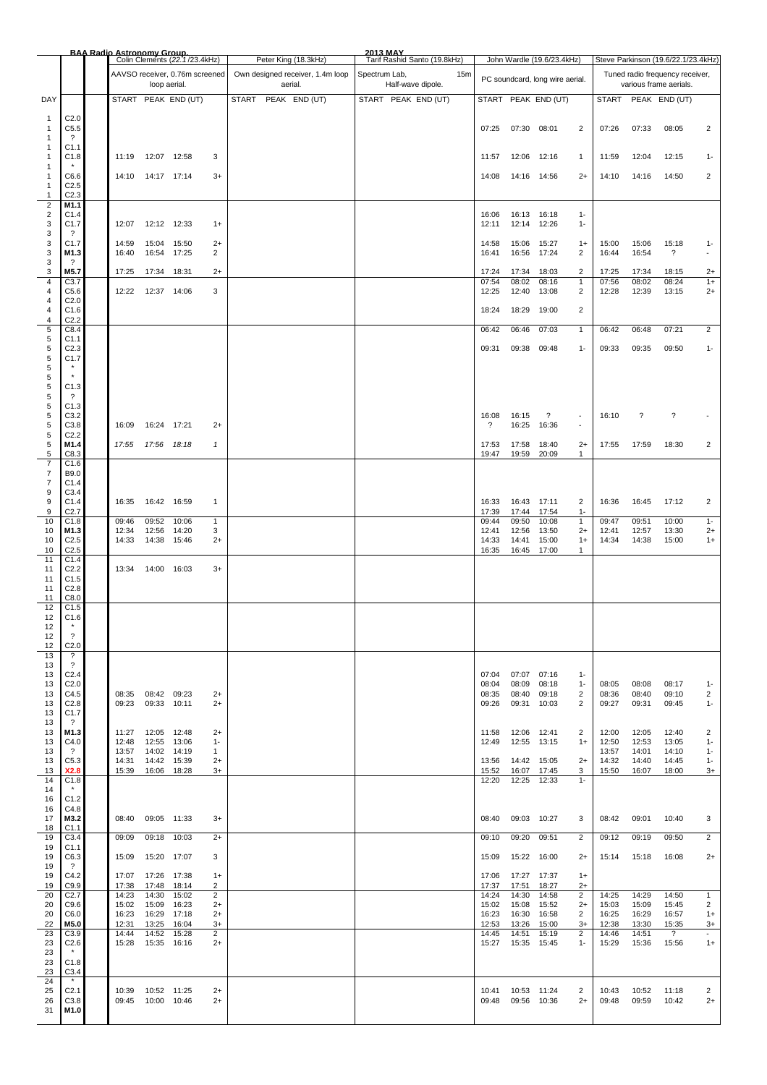|                                   |                                                                 | <b>BAA Radio Astronomy Group.</b> |                         | Colin Clements (22.1/23.4kHz)  |                        | Peter King (18.3kHz)                        | 2013 MAY<br>Tarif Rashid Santo (19.8kHz) |     |                         |                         | John Wardle (19.6/23.4kHz)      |                                |                         |                          | Steve Parkinson (19.6/22.1/23.4kHz)                       |                                  |
|-----------------------------------|-----------------------------------------------------------------|-----------------------------------|-------------------------|--------------------------------|------------------------|---------------------------------------------|------------------------------------------|-----|-------------------------|-------------------------|---------------------------------|--------------------------------|-------------------------|--------------------------|-----------------------------------------------------------|----------------------------------|
|                                   |                                                                 |                                   | loop aerial.            | AAVSO receiver, 0.76m screened |                        | Own designed receiver, 1.4m loop<br>aerial. | Spectrum Lab,<br>Half-wave dipole.       | 15m |                         |                         | PC soundcard, long wire aerial. |                                |                         |                          | Tuned radio frequency receiver,<br>various frame aerials. |                                  |
| DAY                               |                                                                 |                                   |                         | START PEAK END (UT)            |                        | PEAK END (UT)<br><b>START</b>               | START PEAK END (UT)                      |     |                         |                         | START PEAK END (UT)             |                                | <b>START</b>            |                          | PEAK END (UT)                                             |                                  |
| 1<br>$\mathbf{1}$<br>1            | C <sub>2.0</sub><br>C5.5<br>$\overline{\cdot}$                  |                                   |                         |                                |                        |                                             |                                          |     | 07:25                   | 07:30 08:01             |                                 | $\overline{2}$                 | 07:26                   | 07:33                    | 08:05                                                     | $\overline{2}$                   |
| 1<br>1                            | C <sub>1.1</sub><br>C1.8                                        | 11:19                             | 12:07                   | 12:58                          | 3                      |                                             |                                          |     | 11:57                   | 12:06                   | 12:16                           | $\overline{1}$                 | 11:59                   | 12:04                    | 12:15                                                     | $1 -$                            |
| 1<br>1<br>1                       | C6.6<br>C <sub>2.5</sub>                                        | 14:10                             | 14:17 17:14             |                                | $3+$                   |                                             |                                          |     | 14:08                   | 14:16 14:56             |                                 | $2+$                           | 14:10                   | 14:16                    | 14:50                                                     | $\overline{2}$                   |
| 1<br>$\overline{\mathbf{c}}$<br>2 | C <sub>2.3</sub><br>M1.1<br>C1.4                                |                                   |                         |                                |                        |                                             |                                          |     | 16:06                   | 16:13                   | 16:18                           | $1 -$                          |                         |                          |                                                           |                                  |
| 3<br>3<br>3                       | C1.7<br>$\overline{\mathcal{E}}$<br>C <sub>1.7</sub>            | 12:07<br>14:59                    | 12:12 12:33<br>15:04    | 15:50                          | $1+$<br>$2+$           |                                             |                                          |     | 12:11<br>14:58          | 12:14<br>15:06          | 12:26<br>15:27                  | $1 -$<br>$1+$                  | 15:00                   | 15:06                    | 15:18                                                     | $1 -$                            |
| 3<br>3<br>3                       | M1.3<br>$\overline{\mathcal{L}}$<br>M5.7                        | 16:40<br>17:25                    | 17:34                   | 16:54 17:25<br>18:31           | $\overline{2}$<br>$2+$ |                                             |                                          |     | 16:41<br>17:24          | 16:56<br>17:34          | 17:24<br>18:03                  | $\overline{2}$<br>2            | 16:44<br>17:25          | 16:54<br>17:34           | $\overline{\mathbf{?}}$<br>18:15                          | $\overline{\phantom{a}}$<br>$2+$ |
| 4<br>4                            | C3.7<br>C5.6                                                    | 12:22                             | 12:37 14:06             |                                | 3                      |                                             |                                          |     | 07:54<br>12:25          | 08:02<br>12:40          | 08:16<br>13:08                  | $\mathbf{1}$<br>$\overline{2}$ | 07:56<br>12:28          | 08:02<br>12:39           | 08:24<br>13:15                                            | $1+$<br>$2+$                     |
| 4<br>4<br>4                       | C <sub>2.0</sub><br>C1.6<br>C <sub>2.2</sub>                    |                                   |                         |                                |                        |                                             |                                          |     | 18:24                   | 18:29                   | 19:00                           | $\overline{2}$                 |                         |                          |                                                           |                                  |
| 5<br>5                            | C8.4<br>C1.1                                                    |                                   |                         |                                |                        |                                             |                                          |     | 06:42                   | 06:46                   | 07:03                           | $\mathbf{1}$                   | 06:42                   | 06:48                    | 07:21                                                     | $\overline{2}$                   |
| 5<br>5<br>5<br>5<br>5             | C <sub>2.3</sub><br>C <sub>1.7</sub><br>$\star$<br>C1.3         |                                   |                         |                                |                        |                                             |                                          |     | 09:31                   | 09:38                   | 09:48                           | $1 -$                          | 09:33                   | 09:35                    | 09:50                                                     | $1 -$                            |
| 5<br>5<br>5                       | $\overline{\cdot}$<br>C1.3<br>C3.2                              |                                   |                         |                                |                        |                                             |                                          |     | 16:08                   | 16:15                   | ?                               | $\overline{\phantom{a}}$       | 16:10                   | $\overline{\phantom{a}}$ | $\overline{\cdot}$                                        |                                  |
| 5<br>5<br>5                       | C3.8<br>C <sub>2.2</sub><br>M1.4                                | 16:09<br>17:55                    | 16:24<br>17:56          | 17:21<br>18:18                 | $2+$<br>1              |                                             |                                          |     | ?<br>17:53              | 16:25<br>17:58          | 16:36<br>18:40                  | $\blacksquare$<br>$2+$         | 17:55                   | 17:59                    | 18:30                                                     | 2                                |
| 5<br>7<br>7<br>7                  | C8.3<br>C1.6<br>B9.0<br>C1.4                                    |                                   |                         |                                |                        |                                             |                                          |     | 19:47                   | 19:59                   | 20:09                           | $\mathbf{1}$                   |                         |                          |                                                           |                                  |
| 9<br>9                            | C3.4<br>C1.4                                                    | 16:35                             |                         | 16:42 16:59                    | $\mathbf{1}$           |                                             |                                          |     | 16:33                   | 16:43                   | 17:11                           | 2                              | 16:36                   | 16:45                    | 17:12                                                     | $\overline{2}$                   |
| 9<br>10<br>10                     | C <sub>2.7</sub><br>C1.8<br>M1.3                                | 09:46<br>12:34                    | 09:52<br>12:56          | 10:06<br>14:20                 | 1<br>3                 |                                             |                                          |     | 17:39<br>09:44<br>12:41 | 17:44<br>09:50<br>12:56 | 17:54<br>10:08<br>13:50         | $1 -$<br>$\mathbf{1}$<br>$2+$  | 09:47<br>12:41          | 09:51<br>12:57           | 10:00<br>13:30                                            | $1 -$<br>$2+$                    |
| 10<br>10                          | C <sub>2.5</sub><br>C <sub>2.5</sub>                            | 14:33                             | 14:38                   | 15:46                          | $2+$                   |                                             |                                          |     | 14:33<br>16:35          | 14:41<br>16:45          | 15:00<br>17:00                  | $1+$<br>1                      | 14:34                   | 14:38                    | 15:00                                                     | $1+$                             |
| 11<br>11<br>11<br>11              | C1.4<br>C <sub>2.2</sub><br>C1.5<br>C2.8                        | 13:34                             | 14:00 16:03             |                                | $3+$                   |                                             |                                          |     |                         |                         |                                 |                                |                         |                          |                                                           |                                  |
| 11<br>12<br>12<br>12              | C8.0<br>C1.5<br>C1.6                                            |                                   |                         |                                |                        |                                             |                                          |     |                         |                         |                                 |                                |                         |                          |                                                           |                                  |
| 12<br>12                          | ?<br>C <sub>2.0</sub>                                           |                                   |                         |                                |                        |                                             |                                          |     |                         |                         |                                 |                                |                         |                          |                                                           |                                  |
| 13<br>13<br>13                    | $\cdot$<br>$\overline{\mathcal{L}}$<br>C <sub>2.4</sub>         |                                   |                         |                                |                        |                                             |                                          |     | 07:04                   | 07:07                   | 07:16                           | $1 -$                          |                         |                          |                                                           |                                  |
| 13<br>13                          | C <sub>2.0</sub><br>C4.5                                        | 08:35                             | 08:42 09:23             |                                | $2+$                   |                                             |                                          |     | 08:04<br>08:35          | 08:09<br>08:40          | 08:18<br>09:18                  | $1 -$<br>2                     | 08:05<br>08:36          | 08:08<br>08:40           | 08:17<br>09:10                                            | $1 -$<br>2                       |
| 13<br>13<br>13                    | C2.8<br>C1.7<br>$\gamma$                                        | 09:23                             | 09:33                   | 10:11                          | $2+$                   |                                             |                                          |     | 09:26                   | 09:31                   | 10:03                           | 2                              | 09:27                   | 09:31                    | 09:45                                                     | $1 -$                            |
| 13<br>13                          | M1.3<br>C4.0                                                    | 11:27<br>12:48                    | 12:05<br>12:55          | 12:48<br>13:06                 | $2+$<br>$1 -$          |                                             |                                          |     | 11:58<br>12:49          | 12:06<br>12:55          | 12:41<br>13:15                  | 2<br>$1+$                      | 12:00<br>12:50          | 12:05<br>12:53           | 12:40<br>13:05                                            | 2<br>$1 -$                       |
| 13<br>13                          | $\gamma$<br>C5.3                                                | 13:57<br>14:31                    | 14:02<br>14:42          | 14:19<br>15:39                 | 1<br>$2+$              |                                             |                                          |     | 13:56                   | 14:42                   | 15:05                           | $2+$                           | 13:57<br>14:32          | 14:01<br>14:40           | 14:10<br>14:45                                            | $1 -$<br>$1 -$                   |
| 13<br>14<br>14                    | X2.8<br>C1.8                                                    | 15:39                             | 16:06                   | 18:28                          | 3+                     |                                             |                                          |     | 15:52<br>12:20          | 16:07<br>12:25          | 17:45<br>12:33                  | 3<br>$1 -$                     | 15:50                   | 16:07                    | 18:00                                                     | $3+$                             |
| 16<br>16<br>17<br>18              | C1.2<br>C4.8<br>M3.2<br>C1.1                                    | 08:40                             | 09:05 11:33             |                                | $3+$                   |                                             |                                          |     | 08:40                   | 09:03 10:27             |                                 | 3                              | 08:42                   | 09:01                    | 10:40                                                     | 3                                |
| 19<br>19                          | C3.4<br>C1.1                                                    | 09:09                             | 09:18                   | 10:03                          | $2+$                   |                                             |                                          |     | 09:10                   | 09:20                   | 09:51                           | 2                              | 09:12                   | 09:19                    | 09:50                                                     | 2                                |
| 19<br>19                          | C6.3<br>$\overline{\mathcal{E}}$                                | 15:09                             | 15:20 17:07             |                                | 3                      |                                             |                                          |     | 15:09                   | 15:22 16:00             |                                 | $2+$                           | 15:14                   | 15:18                    | 16:08                                                     | $2+$                             |
| 19<br>19                          | C4.2<br>C9.9                                                    | 17:07<br>17:38                    | 17:26<br>17:48          | 17:38<br>18:14                 | $1+$<br>2              |                                             |                                          |     | 17:06<br>17:37          | 17:27<br>17:51          | 17:37<br>18:27                  | $1+$<br>$2+$                   |                         |                          |                                                           |                                  |
| 20<br>20<br>20                    | C <sub>2.7</sub><br>C9.6<br>C6.0                                | 14:23<br>15:02<br>16:23           | 14:30<br>15:09<br>16:29 | 15:02<br>16:23<br>17:18        | 2<br>$2+$<br>$2+$      |                                             |                                          |     | 14:24<br>15:02<br>16:23 | 14:30<br>15:08<br>16:30 | 14:58<br>15:52<br>16:58         | 2<br>$2+$<br>2                 | 14:25<br>15:03<br>16:25 | 14:29<br>15:09<br>16:29  | 14:50<br>15:45<br>16:57                                   | $\mathbf{1}$<br>2<br>$1+$        |
| 22<br>23                          | M5.0<br>C3.9                                                    | 12:31<br>14:44                    | 13:25<br>14:52          | 16:04<br>15:28                 | $3+$<br>2              |                                             |                                          |     | 12:53<br>14:45          | 13:26<br>14:51          | 15:00<br>15:19                  | $3+$<br>2                      | 12:38<br>14:46          | 13:30<br>14:51           | 15:35<br>$\overline{\mathcal{E}}$                         | $3+$<br>$\sim$                   |
| 23<br>23<br>23                    | C <sub>2.6</sub><br>$\star$<br>C1.8                             | 15:28                             | 15:35                   | 16:16                          | $2+$                   |                                             |                                          |     | 15:27                   | 15:35                   | 15:45                           | $1 -$                          | 15:29                   | 15:36                    | 15:56                                                     | $1+$                             |
| 23<br>24<br>25<br>26<br>31        | C3.4<br>$\star$<br>C <sub>2.1</sub><br>C <sub>3.8</sub><br>M1.0 | 10:39<br>09:45                    | 10:52 11:25<br>10:00    | 10:46                          | $2+$<br>$2+$           |                                             |                                          |     | 10:41<br>09:48          | 10:53 11:24<br>09:56    | 10:36                           | 2<br>$2+$                      | 10:43<br>09:48          | 10:52<br>09:59           | 11:18<br>10:42                                            | 2<br>$2+$                        |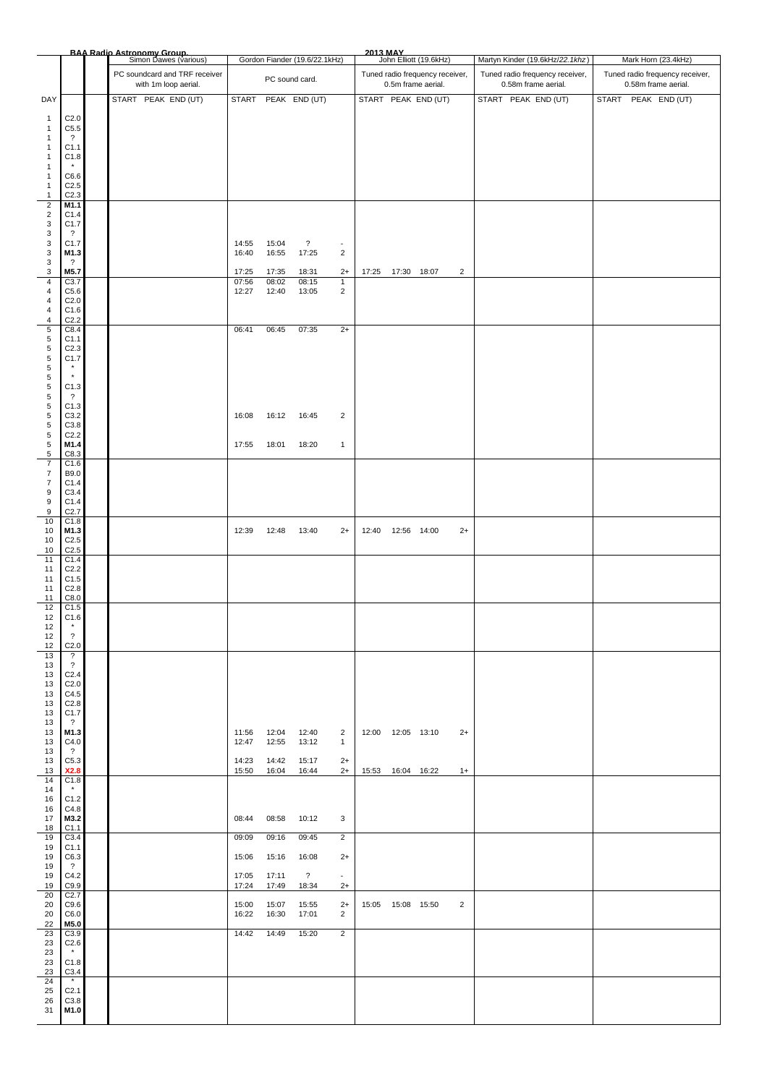|                                           |                                              | <b>BAA Radio Astronomy Group.</b><br>Simon Dawes (various) |                |                | Gordon Fiander (19.6/22.1kHz) |                                  | 2013 MAY                                              |                     | John Elliott (19.6kHz)                                 |                                                        | Martyn Kinder (19.6kHz/22.1khz) | Mark Horn (23.4kHz) |                     |  |  |  |  |
|-------------------------------------------|----------------------------------------------|------------------------------------------------------------|----------------|----------------|-------------------------------|----------------------------------|-------------------------------------------------------|---------------------|--------------------------------------------------------|--------------------------------------------------------|---------------------------------|---------------------|---------------------|--|--|--|--|
|                                           |                                              | PC soundcard and TRF receiver<br>with 1m loop aerial.      |                | PC sound card. |                               |                                  | Tuned radio frequency receiver,<br>0.5m frame aerial. |                     | Tuned radio frequency receiver,<br>0.58m frame aerial. | Tuned radio frequency receiver,<br>0.58m frame aerial. |                                 |                     |                     |  |  |  |  |
| DAY                                       |                                              | START PEAK END (UT)                                        |                |                | START PEAK END (UT)           |                                  |                                                       |                     | START PEAK END (UT)                                    |                                                        | START PEAK END (UT)             |                     | START PEAK END (UT) |  |  |  |  |
| $\mathbf{1}$                              | C <sub>2.0</sub>                             |                                                            |                |                |                               |                                  |                                                       |                     |                                                        |                                                        |                                 |                     |                     |  |  |  |  |
| 1<br>1                                    | C5.5<br>$\overline{?}$                       |                                                            |                |                |                               |                                  |                                                       |                     |                                                        |                                                        |                                 |                     |                     |  |  |  |  |
| 1<br>1                                    | C <sub>1.1</sub><br>C1.8                     |                                                            |                |                |                               |                                  |                                                       |                     |                                                        |                                                        |                                 |                     |                     |  |  |  |  |
| 1<br>1                                    | C6.6                                         |                                                            |                |                |                               |                                  |                                                       |                     |                                                        |                                                        |                                 |                     |                     |  |  |  |  |
| $\mathbf{1}$<br>$\mathbf{1}$              | C <sub>2.5</sub><br>C <sub>2.3</sub>         |                                                            |                |                |                               |                                  |                                                       |                     |                                                        |                                                        |                                 |                     |                     |  |  |  |  |
| $\mathbf 2$<br>$\sqrt{2}$                 | M1.1                                         |                                                            |                |                |                               |                                  |                                                       |                     |                                                        |                                                        |                                 |                     |                     |  |  |  |  |
| 3                                         | C1.4<br>C1.7                                 |                                                            |                |                |                               |                                  |                                                       |                     |                                                        |                                                        |                                 |                     |                     |  |  |  |  |
| 3<br>3                                    | $\overline{\mathcal{L}}$<br>C1.7             |                                                            | 14:55          | 15:04          | $\ddot{\phantom{0}}$          | $\overline{\phantom{a}}$         |                                                       |                     |                                                        |                                                        |                                 |                     |                     |  |  |  |  |
| 3<br>3                                    | M1.3<br>$\ddot{\phantom{0}}$                 |                                                            | 16:40          | 16:55          | 17:25                         | $\overline{c}$                   |                                                       |                     |                                                        |                                                        |                                 |                     |                     |  |  |  |  |
| 3<br>$\overline{4}$                       | M5.7<br>C3.7                                 |                                                            | 17:25<br>07:56 | 17:35<br>08:02 | 18:31<br>08:15                | $2+$<br>$\mathbf{1}$             |                                                       | 17:25  17:30  18:07 |                                                        | $\overline{2}$                                         |                                 |                     |                     |  |  |  |  |
| $\overline{4}$<br>4                       | C5.6<br>C <sub>2.0</sub>                     |                                                            | 12:27          | 12:40          | 13:05                         | $\overline{2}$                   |                                                       |                     |                                                        |                                                        |                                 |                     |                     |  |  |  |  |
| $\overline{4}$<br>$\overline{\mathbf{4}}$ | C1.6<br>C <sub>2.2</sub>                     |                                                            |                |                |                               |                                  |                                                       |                     |                                                        |                                                        |                                 |                     |                     |  |  |  |  |
| $\overline{5}$<br>$\,$ 5 $\,$             | C8.4<br>C <sub>1.1</sub>                     |                                                            | 06:41          | 06:45          | 07:35                         | $2+$                             |                                                       |                     |                                                        |                                                        |                                 |                     |                     |  |  |  |  |
| $\,$ 5 $\,$<br>$\,$ 5 $\,$                | C <sub>2.3</sub><br>C1.7                     |                                                            |                |                |                               |                                  |                                                       |                     |                                                        |                                                        |                                 |                     |                     |  |  |  |  |
| $\,$ 5 $\,$<br>$\,$ 5 $\,$                | $\star$<br>$^\star$                          |                                                            |                |                |                               |                                  |                                                       |                     |                                                        |                                                        |                                 |                     |                     |  |  |  |  |
| $\,$ 5 $\,$<br>$\,$ 5 $\,$                | C1.3<br>$\overline{\mathcal{E}}$             |                                                            |                |                |                               |                                  |                                                       |                     |                                                        |                                                        |                                 |                     |                     |  |  |  |  |
| $\,$ 5 $\,$<br>$\,$ 5 $\,$                | C1.3<br>C3.2                                 |                                                            | 16:08          | 16:12          | 16:45                         | $\overline{2}$                   |                                                       |                     |                                                        |                                                        |                                 |                     |                     |  |  |  |  |
| $\,$ 5 $\,$                               | C3.8                                         |                                                            |                |                |                               |                                  |                                                       |                     |                                                        |                                                        |                                 |                     |                     |  |  |  |  |
| $\,$ 5 $\,$<br>$\,$ 5 $\,$                | C <sub>2.2</sub><br>M1.4                     |                                                            | 17:55          | 18:01          | 18:20                         | $\mathbf{1}$                     |                                                       |                     |                                                        |                                                        |                                 |                     |                     |  |  |  |  |
| 5<br>$\boldsymbol{7}$                     | C8.3<br>C1.6                                 |                                                            |                |                |                               |                                  |                                                       |                     |                                                        |                                                        |                                 |                     |                     |  |  |  |  |
| $\overline{7}$<br>$\overline{7}$          | B9.0<br>C1.4                                 |                                                            |                |                |                               |                                  |                                                       |                     |                                                        |                                                        |                                 |                     |                     |  |  |  |  |
| 9<br>9                                    | C3.4<br>C1.4                                 |                                                            |                |                |                               |                                  |                                                       |                     |                                                        |                                                        |                                 |                     |                     |  |  |  |  |
| 9<br>$10$                                 | C2.7<br>C1.8                                 |                                                            |                |                |                               |                                  |                                                       |                     |                                                        |                                                        |                                 |                     |                     |  |  |  |  |
| 10<br>10                                  | M1.3<br>C <sub>2.5</sub>                     |                                                            | 12:39          | 12:48          | 13:40                         | $2+$                             | 12:40  12:56  14:00                                   |                     |                                                        | $2+$                                                   |                                 |                     |                     |  |  |  |  |
| 10<br>11                                  | C2.5<br>C1.4                                 |                                                            |                |                |                               |                                  |                                                       |                     |                                                        |                                                        |                                 |                     |                     |  |  |  |  |
| 11<br>11                                  | C <sub>2.2</sub><br>C1.5                     |                                                            |                |                |                               |                                  |                                                       |                     |                                                        |                                                        |                                 |                     |                     |  |  |  |  |
| 11<br>11                                  | C2.8<br>C8.0                                 |                                                            |                |                |                               |                                  |                                                       |                     |                                                        |                                                        |                                 |                     |                     |  |  |  |  |
| 12<br>12                                  | C1.5<br>C1.6                                 |                                                            |                |                |                               |                                  |                                                       |                     |                                                        |                                                        |                                 |                     |                     |  |  |  |  |
| 12<br>12                                  | $\pmb{\ast}$<br>$\overline{\mathcal{L}}$     |                                                            |                |                |                               |                                  |                                                       |                     |                                                        |                                                        |                                 |                     |                     |  |  |  |  |
| 12<br>13                                  | C <sub>2.0</sub><br>$\overline{\mathcal{E}}$ |                                                            |                |                |                               |                                  |                                                       |                     |                                                        |                                                        |                                 |                     |                     |  |  |  |  |
| 13<br>13                                  | $\overline{?}$<br>C <sub>2.4</sub>           |                                                            |                |                |                               |                                  |                                                       |                     |                                                        |                                                        |                                 |                     |                     |  |  |  |  |
| 13<br>13                                  | C <sub>2.0</sub><br>C4.5                     |                                                            |                |                |                               |                                  |                                                       |                     |                                                        |                                                        |                                 |                     |                     |  |  |  |  |
| 13<br>13                                  | C2.8<br>C1.7                                 |                                                            |                |                |                               |                                  |                                                       |                     |                                                        |                                                        |                                 |                     |                     |  |  |  |  |
| 13<br>13                                  | $\overline{\mathcal{L}}$<br>M1.3             |                                                            | 11:56          | 12:04          | 12:40                         | $\overline{2}$                   | 12:00  12:05  13:10                                   |                     |                                                        | $2+$                                                   |                                 |                     |                     |  |  |  |  |
| 13<br>13                                  | C4.0<br>$\overline{\mathcal{L}}$             |                                                            | 12:47          | 12:55          | 13:12                         | $\mathbf{1}$                     |                                                       |                     |                                                        |                                                        |                                 |                     |                     |  |  |  |  |
| 13<br>13                                  | C5.3<br>X2.8                                 |                                                            | 14:23<br>15:50 | 14:42<br>16:04 | 15:17<br>16:44                | $2+$<br>$2+$                     | 15:53  16:04  16:22                                   |                     |                                                        | $1+$                                                   |                                 |                     |                     |  |  |  |  |
| 14<br>14                                  | C1.8<br>$\star$                              |                                                            |                |                |                               |                                  |                                                       |                     |                                                        |                                                        |                                 |                     |                     |  |  |  |  |
| 16<br>16                                  | C1.2<br>C4.8                                 |                                                            |                |                |                               |                                  |                                                       |                     |                                                        |                                                        |                                 |                     |                     |  |  |  |  |
| 17<br>18                                  | M3.2<br>C1.1                                 |                                                            | 08:44          | 08:58          | 10:12                         | 3                                |                                                       |                     |                                                        |                                                        |                                 |                     |                     |  |  |  |  |
| 19<br>19                                  | C3.4<br>C <sub>1.1</sub>                     |                                                            | 09:09          | 09:16          | 09:45                         | $\overline{2}$                   |                                                       |                     |                                                        |                                                        |                                 |                     |                     |  |  |  |  |
| 19<br>19                                  | C6.3<br>$\overline{\mathcal{L}}$             |                                                            | 15:06          | 15:16          | 16:08                         | $2+$                             |                                                       |                     |                                                        |                                                        |                                 |                     |                     |  |  |  |  |
| 19<br>19                                  | C4.2<br>C9.9                                 |                                                            | 17:05<br>17:24 | 17:11<br>17:49 | $\overline{?}$<br>18:34       | $\overline{\phantom{a}}$<br>$2+$ |                                                       |                     |                                                        |                                                        |                                 |                     |                     |  |  |  |  |
| 20<br>20                                  | C2.7<br>C9.6                                 |                                                            | 15:00          | 15:07          | 15:55                         | $2+$                             | 15:05  15:08  15:50                                   |                     |                                                        | $\overline{2}$                                         |                                 |                     |                     |  |  |  |  |
| 20<br>22                                  | C6.0<br>M5.0                                 |                                                            | 16:22          | 16:30          | 17:01                         | $\overline{2}$                   |                                                       |                     |                                                        |                                                        |                                 |                     |                     |  |  |  |  |
| 23<br>23                                  | C3.9<br>C2.6                                 |                                                            | 14:42          | 14:49          | 15:20                         | $\overline{2}$                   |                                                       |                     |                                                        |                                                        |                                 |                     |                     |  |  |  |  |
| 23<br>23                                  | $\star$<br>C1.8                              |                                                            |                |                |                               |                                  |                                                       |                     |                                                        |                                                        |                                 |                     |                     |  |  |  |  |
| 23<br>24                                  | C3.4<br>$\star$                              |                                                            |                |                |                               |                                  |                                                       |                     |                                                        |                                                        |                                 |                     |                     |  |  |  |  |
| 25<br>26                                  | C <sub>2.1</sub><br>C3.8                     |                                                            |                |                |                               |                                  |                                                       |                     |                                                        |                                                        |                                 |                     |                     |  |  |  |  |
| 31                                        | M1.0                                         |                                                            |                |                |                               |                                  |                                                       |                     |                                                        |                                                        |                                 |                     |                     |  |  |  |  |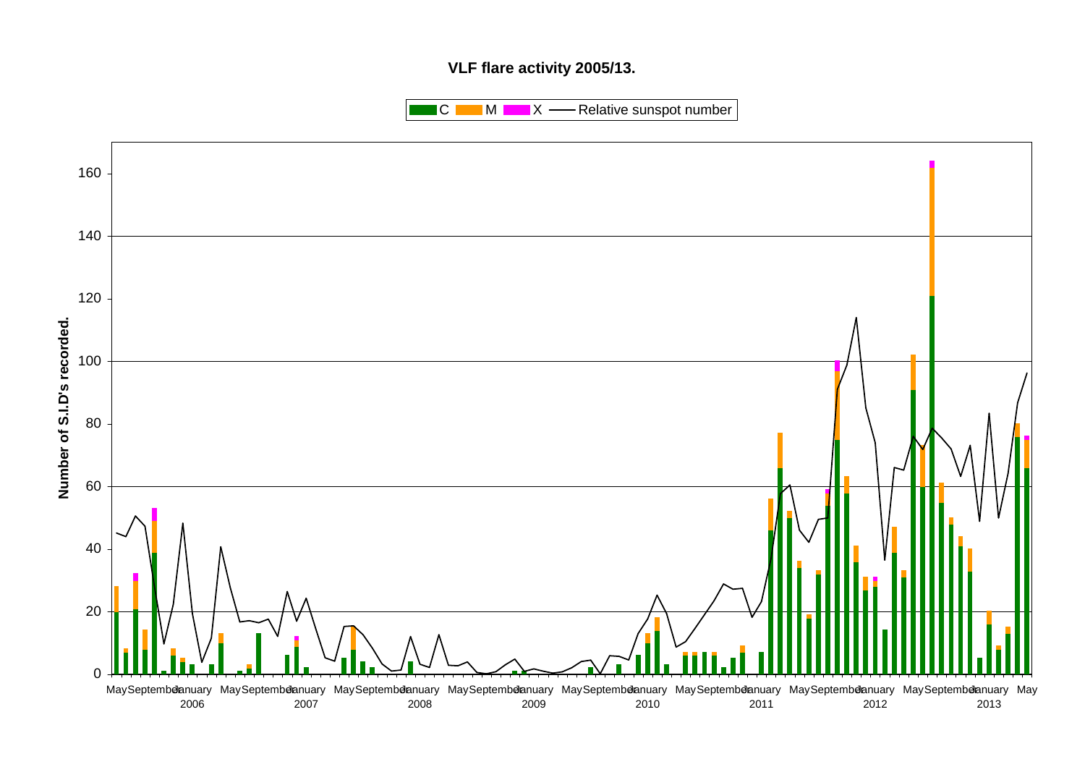## **VLF flare activity 2005/13.**

 $\blacksquare$  C  $\blacksquare$  M  $\blacksquare$   $\blacksquare$  X  $\blacksquare$  Relative sunspot number

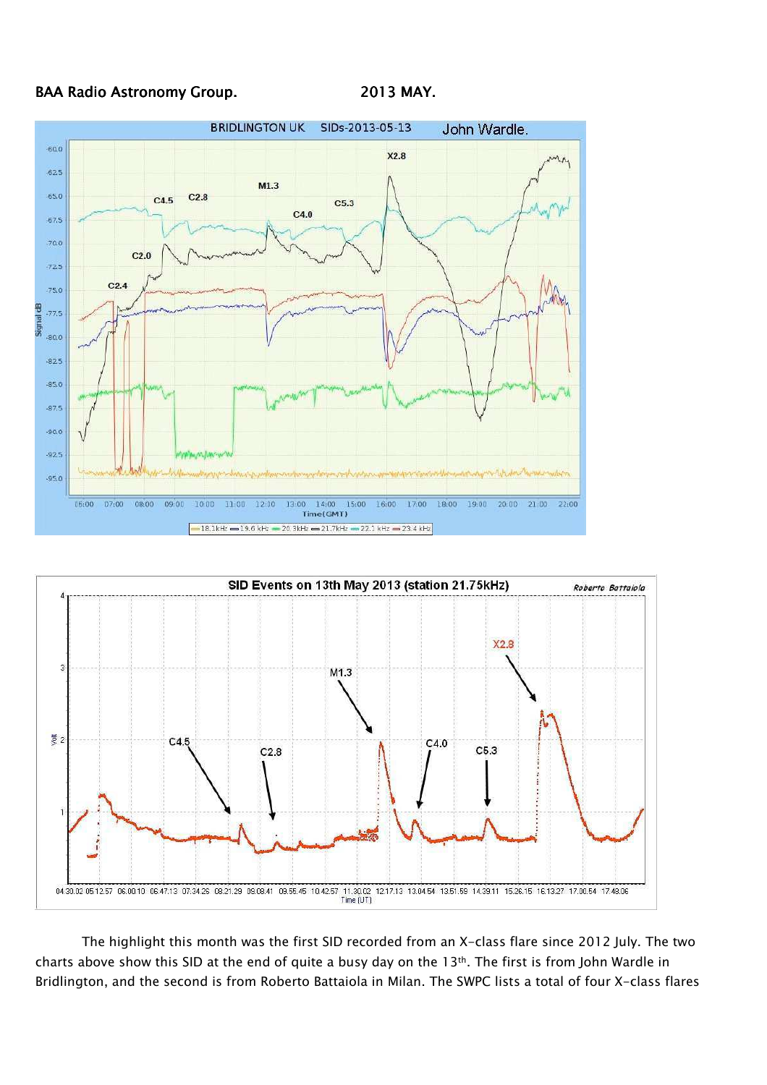





The highlight this month was the first SID recorded from an X-class flare since 2012 July. The two charts above show this SID at the end of quite a busy day on the 13th. The first is from John Wardle in Bridlington, and the second is from Roberto Battaiola in Milan. The SWPC lists a total of four X-class flares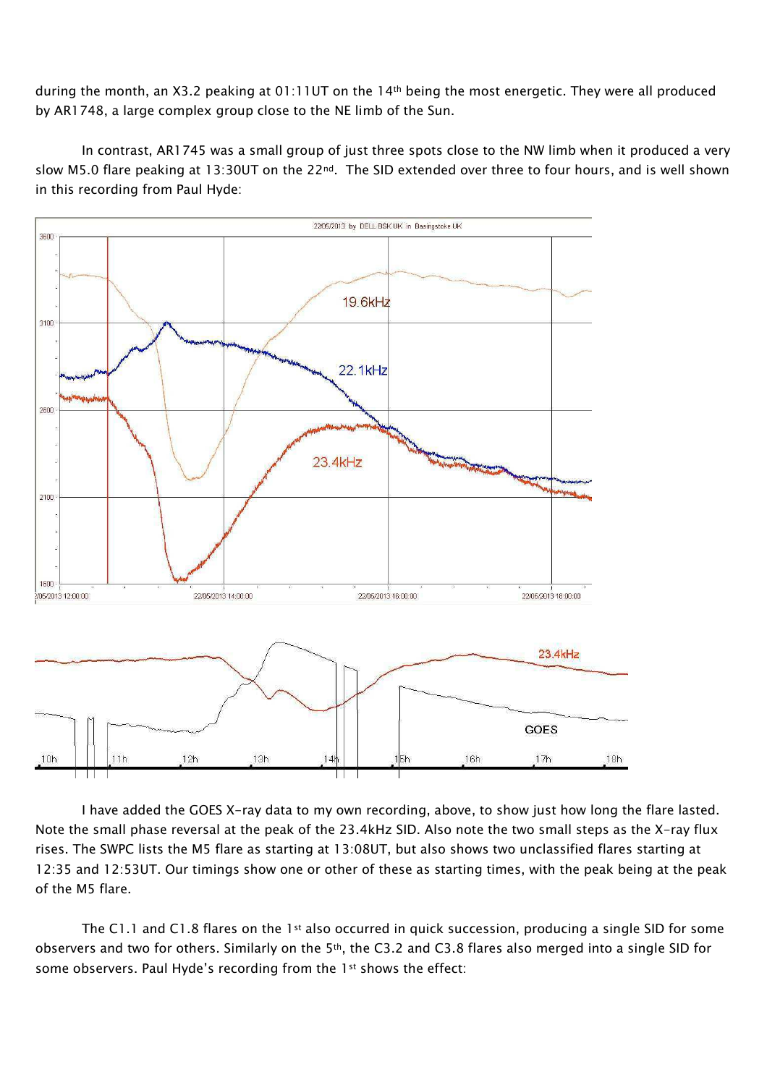during the month, an X3.2 peaking at 01:11UT on the 14<sup>th</sup> being the most energetic. They were all produced by AR1748, a large complex group close to the NE limb of the Sun.

In contrast, AR1745 was a small group of just three spots close to the NW limb when it produced a very slow M5.0 flare peaking at 13:30UT on the 22<sup>nd</sup>. The SID extended over three to four hours, and is well shown in this recording from Paul Hyde:



I have added the GOES X-ray data to my own recording, above, to show just how long the flare lasted. Note the small phase reversal at the peak of the 23.4kHz SID. Also note the two small steps as the X-ray flux rises. The SWPC lists the M5 flare as starting at 13:08UT, but also shows two unclassified flares starting at 12:35 and 12:53UT. Our timings show one or other of these as starting times, with the peak being at the peak of the M5 flare.

The C1.1 and C1.8 flares on the 1st also occurred in quick succession, producing a single SID for some observers and two for others. Similarly on the 5th, the C3.2 and C3.8 flares also merged into a single SID for some observers. Paul Hyde's recording from the 1st shows the effect: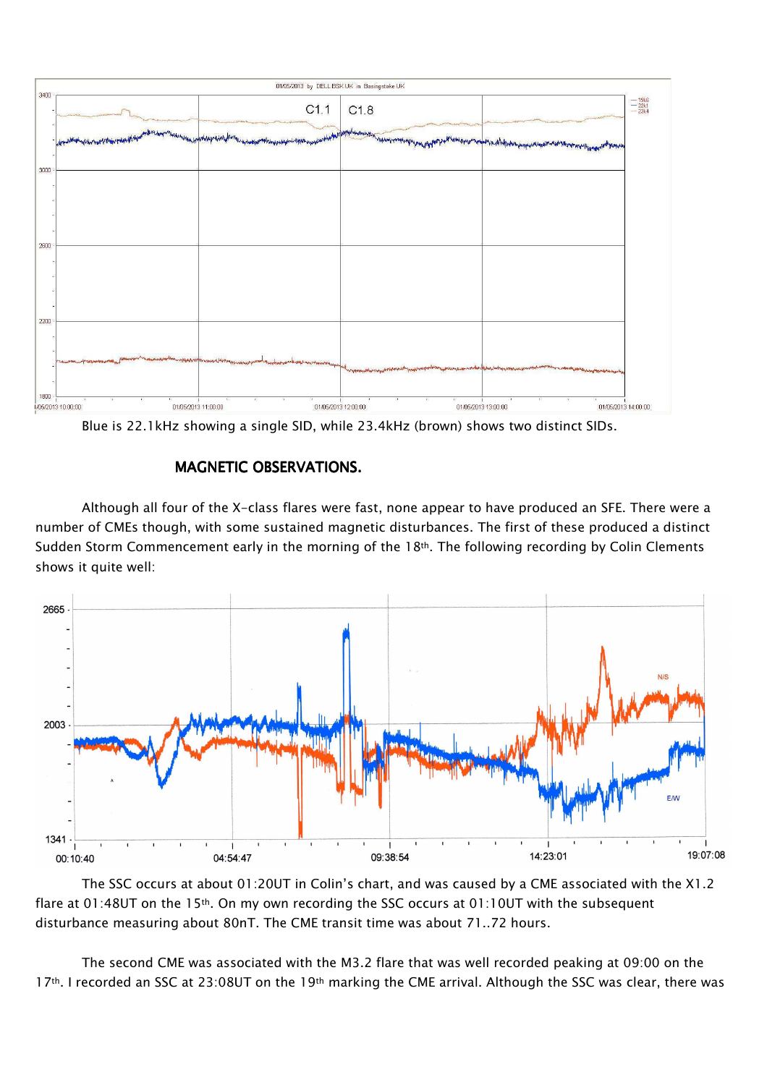

Blue is 22.1kHz showing a single SID, while 23.4kHz (brown) shows two distinct SIDs.

## MAGNETIC OBSERVATIONS.

Although all four of the X-class flares were fast, none appear to have produced an SFE. There were a number of CMEs though, with some sustained magnetic disturbances. The first of these produced a distinct Sudden Storm Commencement early in the morning of the 18<sup>th</sup>. The following recording by Colin Clements shows it quite well:



The SSC occurs at about 01:20UT in Colin's chart, and was caused by a CME associated with the X1.2 flare at 01:48UT on the 15<sup>th</sup>. On my own recording the SSC occurs at 01:10UT with the subsequent disturbance measuring about 80nT. The CME transit time was about 71..72 hours.

The second CME was associated with the M3.2 flare that was well recorded peaking at 09:00 on the 17<sup>th</sup>. I recorded an SSC at 23:08UT on the 19<sup>th</sup> marking the CME arrival. Although the SSC was clear, there was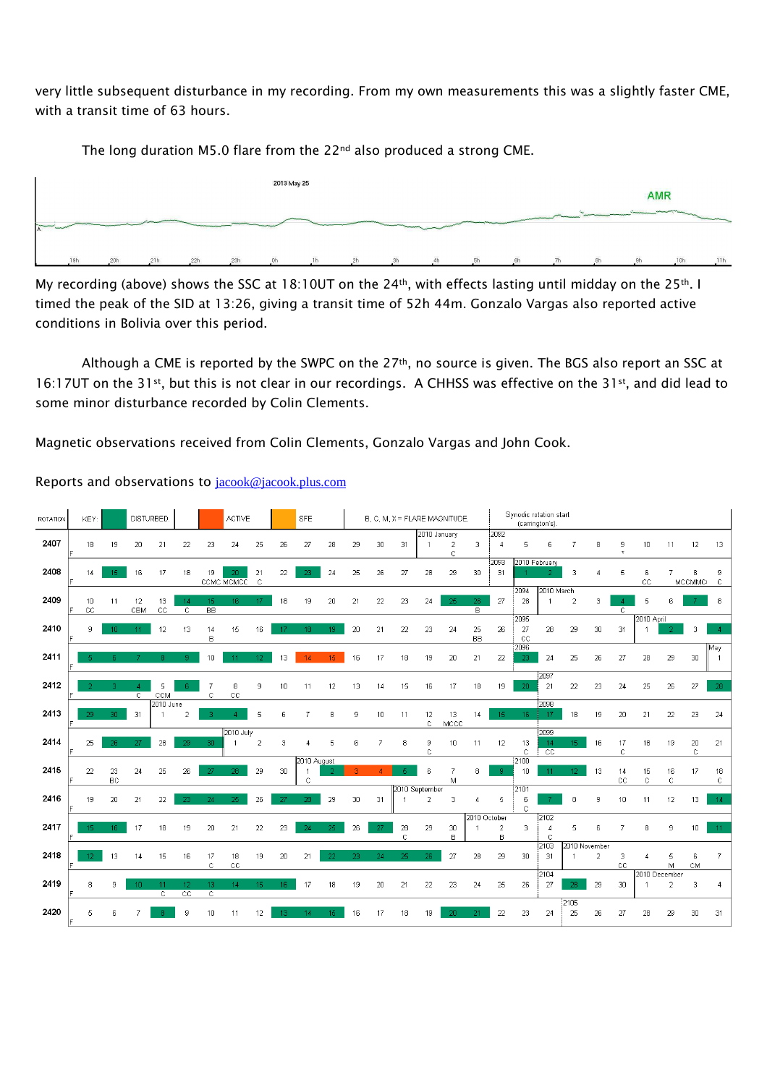very little subsequent disturbance in my recording. From my own measurements this was a slightly faster CME, with a transit time of 63 hours.

The long duration M5.0 flare from the 22<sup>nd</sup> also produced a strong CME.



My recording (above) shows the SSC at 18:10UT on the 24<sup>th</sup>, with effects lasting until midday on the 25<sup>th</sup>. I timed the peak of the SID at 13:26, giving a transit time of 52h 44m. Gonzalo Vargas also reported active conditions in Bolivia over this period.

Although a CME is reported by the SWPC on the 27<sup>th</sup>, no source is given. The BGS also report an SSC at 16:17UT on the 31st, but this is not clear in our recordings. A CHHSS was effective on the 31st, and did lead to some minor disturbance recorded by Colin Clements.

Magnetic observations received from Colin Clements, Gonzalo Vargas and John Cook.

| <b>ROTATION</b> | KEY:              |                 |                 | <b>DISTURBED</b>  |                      | <b>ACTIVE</b>   |                  | <b>SFE</b>         |    | B, C, M, X = FLARE MAGNITUDE. |     |    |    |                |                    | Synodic rotation start<br>(carrington's). |                 |                  |                    |                       |                 |                |                |               |                |                    |                   |
|-----------------|-------------------|-----------------|-----------------|-------------------|----------------------|-----------------|------------------|--------------------|----|-------------------------------|-----|----|----|----------------|--------------------|-------------------------------------------|-----------------|------------------|--------------------|-----------------------|-----------------|----------------|----------------|---------------|----------------|--------------------|-------------------|
|                 |                   |                 |                 |                   |                      |                 |                  |                    |    |                               |     |    |    |                | 2010 January       |                                           |                 | 2092             |                    |                       |                 |                |                |               |                |                    |                   |
| 2407            | 18                | 19              | 20              | 21                | 22                   | 23              | 24               | 25                 | 26 | 27                            | 28  | 29 | 30 | 31             |                    | $\overline{2}$<br>C                       | 3               | $\boldsymbol{A}$ | 5                  | ĥ                     |                 | 8              | 9<br>$\star$   | 10            | 11             | 12                 | 13                |
|                 |                   |                 |                 |                   |                      |                 |                  |                    |    |                               |     |    |    |                |                    |                                           |                 | 2093             | 2010 February      |                       |                 |                |                |               |                |                    |                   |
| 2408            | 14                | 15              | 16              | 17                | 18                   | 19              | 20<br>CCMC MCMCC | 21<br>$\mathbf{C}$ | 22 | 23                            | 24  | 25 | 26 | 27             | 28                 | 29                                        | 30              | 31               |                    |                       | 3               | л              | 5              | 6<br>CC       |                | 8<br><b>MCCMMC</b> | 9<br>$\mathbb{C}$ |
|                 |                   |                 |                 |                   |                      |                 |                  |                    |    |                               |     |    |    |                |                    |                                           |                 |                  | 2094               | 2010 March            |                 |                |                |               |                |                    |                   |
| 2409            | 10<br>$_{\rm cc}$ | 11              | 12<br>CBM       | 13<br>$_{\rm CC}$ | 14<br>$\overline{c}$ | 15<br><b>BB</b> | 16               | 17                 | 18 | 19                            | 20  | 21 | 22 | 23             | 24                 | 25                                        | 26<br>B         | 27               | 28                 | $\overline{1}$        | $\overline{2}$  | 3              | $\overline{c}$ | 5             |                |                    | 8                 |
|                 |                   |                 |                 |                   |                      |                 |                  |                    |    |                               |     |    |    |                |                    |                                           |                 |                  | 2095               |                       |                 |                |                | 2010 April    |                |                    |                   |
| 2410            | q                 | 10 <sub>1</sub> | 11              | 12                | 13                   | 14<br>B         | 15               | 16                 | 17 | 18                            | 19  | 20 | 21 | 22             | 23                 | 24                                        | 25<br><b>BB</b> | 26               | 27<br>$_{\rm cc}$  | 28                    | 29              | 30             | 31             |               |                |                    |                   |
|                 |                   |                 |                 |                   |                      |                 |                  |                    |    |                               |     |    |    |                |                    |                                           |                 |                  | 2096               |                       |                 |                |                |               |                |                    | May               |
| 2411            |                   | ß.              |                 | g.                | 9.                   | 10              |                  | 12 <sup>°</sup>    | 13 | 14                            | 15  | 16 | 17 | 18             | 19                 | 20                                        | 21              | 22               | 23                 | 24                    | 25              | 26             | 27             | 28            | 29             | 30                 |                   |
|                 |                   |                 |                 |                   |                      |                 |                  |                    |    |                               |     |    |    |                |                    |                                           |                 |                  |                    | 2097                  |                 |                |                |               |                |                    |                   |
| 2412            |                   | R               | $\mathbb{C}$    | 5<br>CCM          |                      | 7<br>C          | 8<br>CC          | 9                  | 10 | 11                            | 12  | 13 | 14 | 15             | 16                 | 17                                        | 18              | 19               | 20                 | 21                    | 22              | 23             | 24             | 25            | 26             | 27                 | 28                |
|                 |                   |                 |                 | 2010 June         |                      |                 |                  |                    |    |                               |     |    |    |                |                    |                                           |                 |                  |                    | 2098                  |                 |                |                |               |                |                    |                   |
| 2413            | 29                | 30              | 31              | $\overline{1}$    | $\overline{2}$       |                 |                  | 5                  | ĥ  | 7                             | 8   | 9  | 10 | 11             | 12<br>$\mathbb{C}$ | 13<br>MCCC                                | 14              | 15               | 16                 | 17                    | 18              | 19             | 20             | 21            | 22             | 23                 | 24                |
|                 |                   |                 |                 |                   |                      |                 | 2010 July        |                    |    |                               |     |    |    |                |                    |                                           |                 |                  |                    | 2099                  |                 |                |                |               |                |                    |                   |
| 2414            | 25                | 26.             | 27              | 28                | 29                   | 30              |                  | $\overline{c}$     | 3  | Λ                             | 5   | 6  | 7  | 8              | 9<br>C             | 10                                        | 11              | 12               | 13<br>$\mathbb{C}$ | 14<br>$\overline{cc}$ | 15.             | 16             | 17<br>C        | 18            | 19             | $20\,$<br>C        | 21                |
|                 |                   |                 |                 |                   |                      |                 |                  |                    |    | 2010 August                   |     |    |    |                |                    |                                           |                 |                  | 2100               |                       |                 |                |                |               |                |                    |                   |
| 2415            | 22                | 23              | 24              | 25                | 26                   | -27             | 28               | 29                 | 30 |                               | -2  | R  |    |                | 6                  | 7                                         | 8               | $\mathbf{q}$     | 10                 | 11                    | 12 <sub>1</sub> | 13             | 14             | 15            | 16             | 17                 | 18                |
|                 |                   | BC              |                 |                   |                      |                 |                  |                    |    | $\mathbf{C}$                  |     |    |    |                |                    | M                                         |                 |                  |                    |                       |                 |                | <b>CC</b>      | C             | C              |                    | C.                |
|                 |                   |                 |                 |                   |                      |                 |                  |                    |    |                               |     |    |    | 2010 September |                    |                                           |                 |                  | 2101               |                       |                 |                |                |               |                |                    |                   |
| 2416            | 19                | 20              | 21              | 22                | 23                   | 24              | 25               | 26                 | 27 | 28                            | 29  | 30 | 31 |                | $\overline{a}$     | З                                         |                 | 5                | 6                  |                       | 8               | 9              | 10             | 11            | 12             | 13                 | 14                |
|                 |                   |                 |                 |                   |                      |                 |                  |                    |    |                               |     |    |    |                |                    |                                           |                 |                  | $\mathbb{C}$       |                       |                 |                |                |               |                |                    |                   |
|                 |                   |                 |                 |                   |                      |                 |                  |                    |    |                               |     |    |    |                |                    |                                           |                 | 2010 October     |                    | 2102                  |                 |                |                |               |                |                    |                   |
| 2417            | 15                | 16 <sub>1</sub> | 17              | 18                | 19                   | 20              | 21               | 22                 | 23 | 24                            | 25  | 26 | 27 | 28             | 29                 | 30                                        |                 | $\overline{c}$   | 3                  | Ź                     | 5               | 6              | 7              | 8             | 9              | 10                 | 11                |
|                 |                   |                 |                 |                   |                      |                 |                  |                    |    |                               |     |    |    | $\mathbb{C}$   |                    | B                                         |                 | B                |                    | c                     |                 |                |                |               |                |                    |                   |
|                 |                   |                 |                 |                   |                      |                 |                  |                    |    |                               |     |    |    |                |                    |                                           |                 |                  |                    | 2103                  | 2010 November   |                |                |               |                |                    |                   |
| 2418            | 12.               | 13              | 14              | 15                | 16                   | 17              | 18               | 19                 | 20 | 21                            | 22. | 23 | 24 | 25             | 26                 | 27                                        | 28              | 29               | 30                 | 31                    |                 | $\overline{2}$ | 3              |               | 5              | 6                  |                   |
|                 |                   |                 |                 |                   |                      | $\mathbf C$     | CC               |                    |    |                               |     |    |    |                |                    |                                           |                 |                  |                    |                       |                 |                | CC             |               | М              | CM                 |                   |
|                 |                   |                 |                 |                   |                      |                 |                  |                    |    |                               |     |    |    |                |                    |                                           |                 |                  |                    | 2104                  |                 |                |                | 2010 December |                |                    |                   |
| 2419            | 8                 | 9               | 10 <sup>1</sup> | 11                | 12 <sup>°</sup>      | 13.             | 14               | 15                 | 16 | 17                            | 18  | 19 | 20 | 21             | 22                 | 23                                        | 24              | 25               | 26                 | 27                    | 28              | 29             | 30             |               | $\overline{2}$ | з                  | 4                 |
|                 |                   |                 |                 | C.                | $\overline{cc}$      | C.              |                  |                    |    |                               |     |    |    |                |                    |                                           |                 |                  |                    |                       |                 |                |                |               |                |                    |                   |
|                 |                   |                 |                 |                   |                      |                 |                  |                    |    |                               |     |    |    |                |                    |                                           |                 |                  |                    |                       | 2105            |                |                |               |                |                    |                   |
| 2420            | 5                 | ĥ               |                 |                   | 9                    | 10              | 11               | 12                 |    | 14                            | 15. | 16 | 17 | 18             | 19                 |                                           |                 | 22               | 23                 | 24                    | 25              | 26             | 27             | 28            | 29             | 30                 | 31                |
|                 | l۴                |                 |                 |                   |                      |                 |                  |                    |    |                               |     |    |    |                |                    |                                           |                 |                  |                    |                       |                 |                |                |               |                |                    |                   |

## Reports and observations to jacook@jacook.plus.com